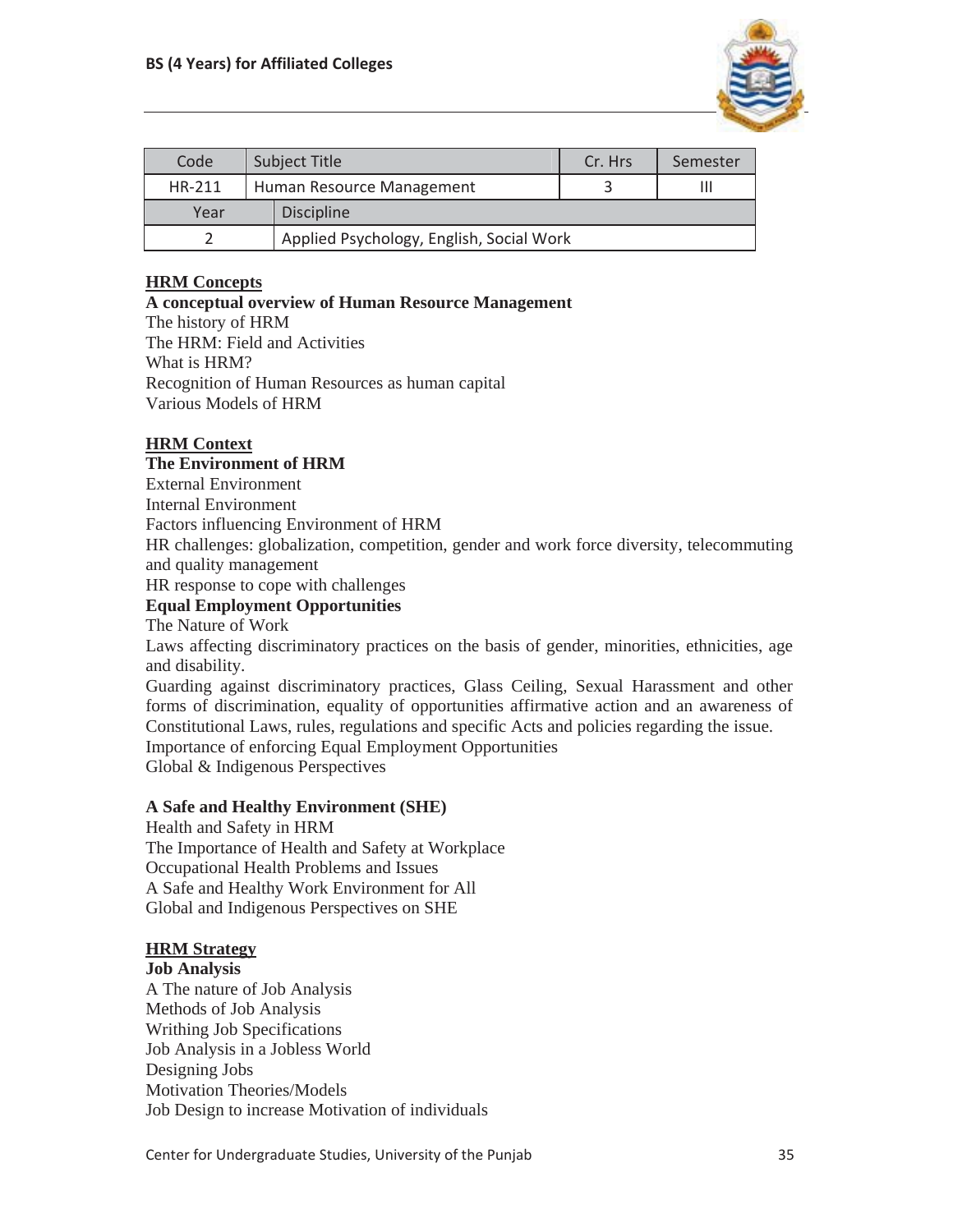

| Code                                     | Subject Title |                           | Cr. Hrs | Semester |
|------------------------------------------|---------------|---------------------------|---------|----------|
| HR-211                                   |               | Human Resource Management |         | Ш        |
| Year                                     |               | <b>Discipline</b>         |         |          |
| Applied Psychology, English, Social Work |               |                           |         |          |

# **HRM Concepts**

## **A conceptual overview of Human Resource Management**

The history of HRM The HRM: Field and Activities What is HRM? Recognition of Human Resources as human capital

Various Models of HRM

# **HRM Context**

# **The Environment of HRM**

External Environment

Internal Environment

Factors influencing Environment of HRM

HR challenges: globalization, competition, gender and work force diversity, telecommuting and quality management

HR response to cope with challenges

### **Equal Employment Opportunities**

The Nature of Work

Laws affecting discriminatory practices on the basis of gender, minorities, ethnicities, age and disability.

Guarding against discriminatory practices, Glass Ceiling, Sexual Harassment and other forms of discrimination, equality of opportunities affirmative action and an awareness of Constitutional Laws, rules, regulations and specific Acts and policies regarding the issue. Importance of enforcing Equal Employment Opportunities Global & Indigenous Perspectives

## **A Safe and Healthy Environment (SHE)**

Health and Safety in HRM The Importance of Health and Safety at Workplace Occupational Health Problems and Issues A Safe and Healthy Work Environment for All Global and Indigenous Perspectives on SHE

## **HRM Strategy**

#### **Job Analysis**

A The nature of Job Analysis Methods of Job Analysis Writhing Job Specifications Job Analysis in a Jobless World Designing Jobs Motivation Theories/Models Job Design to increase Motivation of individuals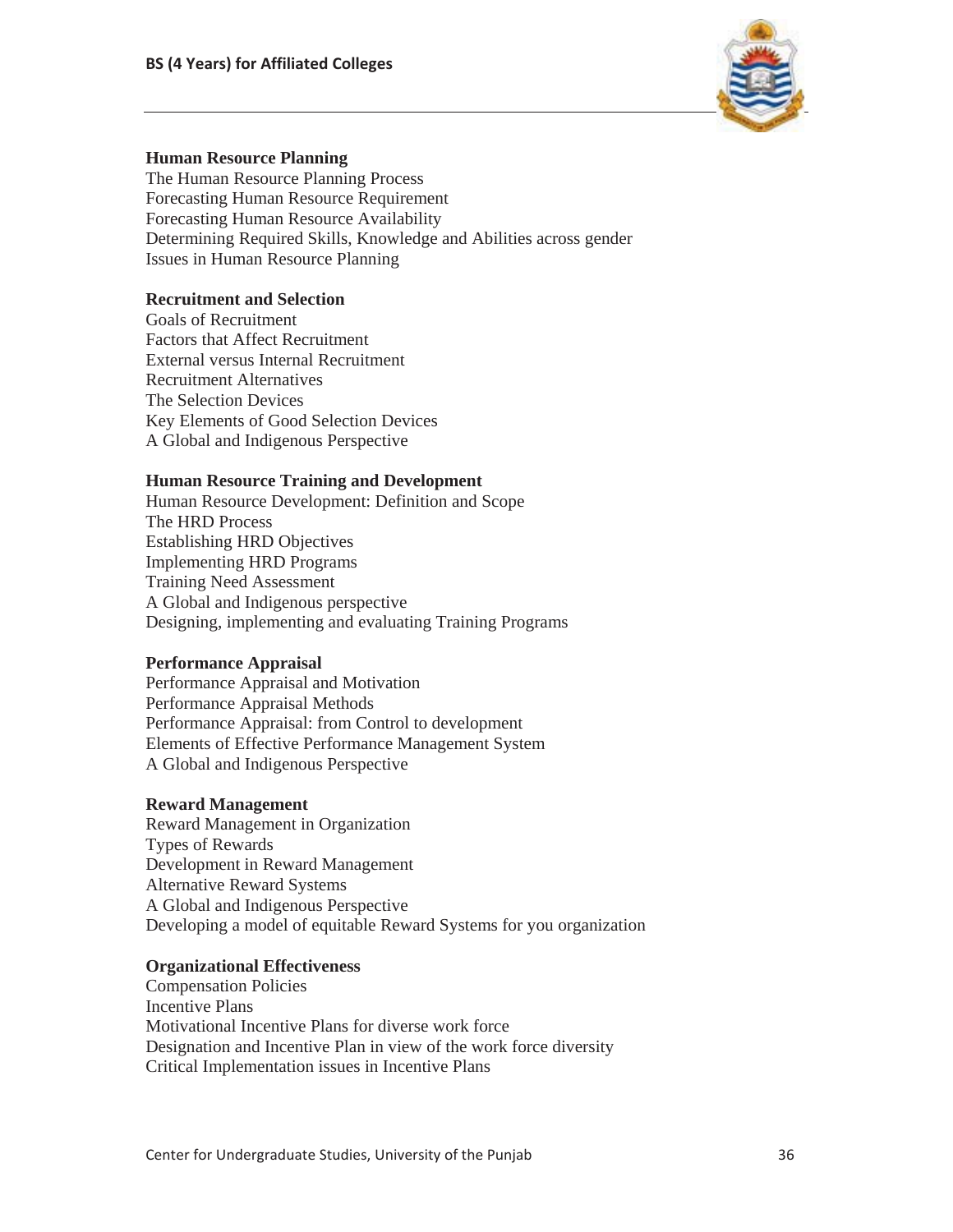

### **Human Resource Planning**

The Human Resource Planning Process Forecasting Human Resource Requirement Forecasting Human Resource Availability Determining Required Skills, Knowledge and Abilities across gender Issues in Human Resource Planning

## **Recruitment and Selection**

Goals of Recruitment Factors that Affect Recruitment External versus Internal Recruitment Recruitment Alternatives The Selection Devices Key Elements of Good Selection Devices A Global and Indigenous Perspective

### **Human Resource Training and Development**

Human Resource Development: Definition and Scope The HRD Process Establishing HRD Objectives Implementing HRD Programs Training Need Assessment A Global and Indigenous perspective Designing, implementing and evaluating Training Programs

## **Performance Appraisal**

Performance Appraisal and Motivation Performance Appraisal Methods Performance Appraisal: from Control to development Elements of Effective Performance Management System A Global and Indigenous Perspective

#### **Reward Management**

Reward Management in Organization Types of Rewards Development in Reward Management Alternative Reward Systems A Global and Indigenous Perspective Developing a model of equitable Reward Systems for you organization

#### **Organizational Effectiveness**

Compensation Policies Incentive Plans Motivational Incentive Plans for diverse work force Designation and Incentive Plan in view of the work force diversity Critical Implementation issues in Incentive Plans